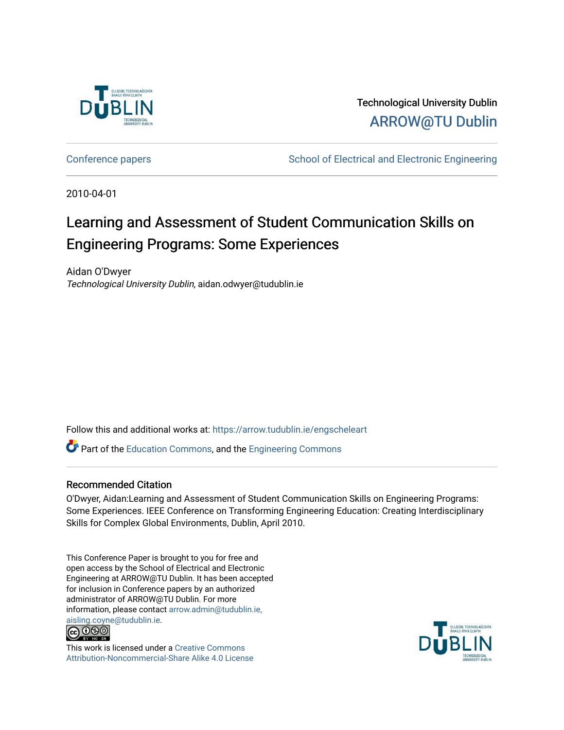

Technological University Dublin [ARROW@TU Dublin](https://arrow.tudublin.ie/) 

[Conference papers](https://arrow.tudublin.ie/engscheleart) **School of Electrical and Electronic Engineering** 

2010-04-01

## Learning and Assessment of Student Communication Skills on Engineering Programs: Some Experiences

Aidan O'Dwyer Technological University Dublin, aidan.odwyer@tudublin.ie

Follow this and additional works at: [https://arrow.tudublin.ie/engscheleart](https://arrow.tudublin.ie/engscheleart?utm_source=arrow.tudublin.ie%2Fengscheleart%2F126&utm_medium=PDF&utm_campaign=PDFCoverPages) 

Part of the [Education Commons](http://network.bepress.com/hgg/discipline/784?utm_source=arrow.tudublin.ie%2Fengscheleart%2F126&utm_medium=PDF&utm_campaign=PDFCoverPages), and the [Engineering Commons](http://network.bepress.com/hgg/discipline/217?utm_source=arrow.tudublin.ie%2Fengscheleart%2F126&utm_medium=PDF&utm_campaign=PDFCoverPages)

### Recommended Citation

O'Dwyer, Aidan:Learning and Assessment of Student Communication Skills on Engineering Programs: Some Experiences. IEEE Conference on Transforming Engineering Education: Creating Interdisciplinary Skills for Complex Global Environments, Dublin, April 2010.

This Conference Paper is brought to you for free and open access by the School of Electrical and Electronic Engineering at ARROW@TU Dublin. It has been accepted for inclusion in Conference papers by an authorized administrator of ARROW@TU Dublin. For more information, please contact [arrow.admin@tudublin.ie,](mailto:arrow.admin@tudublin.ie,%20aisling.coyne@tudublin.ie)  [aisling.coyne@tudublin.ie.](mailto:arrow.admin@tudublin.ie,%20aisling.coyne@tudublin.ie)<br>© 090



This work is licensed under a [Creative Commons](http://creativecommons.org/licenses/by-nc-sa/4.0/) [Attribution-Noncommercial-Share Alike 4.0 License](http://creativecommons.org/licenses/by-nc-sa/4.0/)

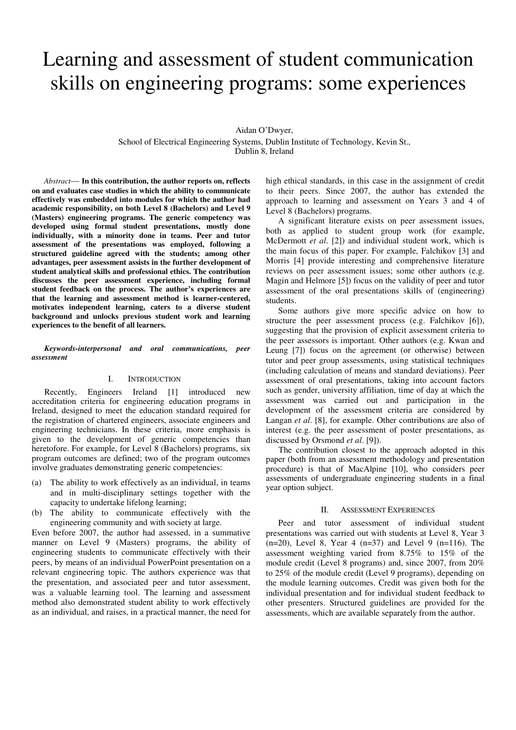# Learning and assessment of student communication skills on engineering programs: some experiences

Aidan O'Dwyer,

School of Electrical Engineering Systems, Dublin Institute of Technology, Kevin St., Dublin 8, Ireland

*Abstract*— **In this contribution, the author reports on, reflects on and evaluates case studies in which the ability to communicate effectively was embedded into modules for which the author had academic responsibility, on both Level 8 (Bachelors) and Level 9 (Masters) engineering programs. The generic competency was developed using formal student presentations, mostly done individually, with a minority done in teams. Peer and tutor assessment of the presentations was employed, following a structured guideline agreed with the students; among other advantages, peer assessment assists in the further development of student analytical skills and professional ethics. The contribution discusses the peer assessment experience, including formal student feedback on the process. The author's experiences are that the learning and assessment method is learner-centered, motivates independent learning, caters to a diverse student background and unlocks previous student work and learning experiences to the benefit of all learners.**

*Keywords-interpersonal and oral communications, peer assessment* 

#### I. INTRODUCTION

Recently, Engineers Ireland [1] introduced new accreditation criteria for engineering education programs in Ireland, designed to meet the education standard required for the registration of chartered engineers, associate engineers and engineering technicians. In these criteria, more emphasis is given to the development of generic competencies than heretofore. For example, for Level 8 (Bachelors) programs, six program outcomes are defined; two of the program outcomes involve graduates demonstrating generic competencies:

- (a) The ability to work effectively as an individual, in teams and in multi-disciplinary settings together with the capacity to undertake lifelong learning;
- (b) The ability to communicate effectively with the engineering community and with society at large.

Even before 2007, the author had assessed, in a summative manner on Level 9 (Masters) programs, the ability of engineering students to communicate effectively with their peers, by means of an individual PowerPoint presentation on a relevant engineering topic. The authors experience was that the presentation, and associated peer and tutor assessment, was a valuable learning tool. The learning and assessment method also demonstrated student ability to work effectively as an individual, and raises, in a practical manner, the need for high ethical standards, in this case in the assignment of credit to their peers. Since 2007, the author has extended the approach to learning and assessment on Years 3 and 4 of Level 8 (Bachelors) programs.

A significant literature exists on peer assessment issues, both as applied to student group work (for example, McDermott *et al*. [2]) and individual student work, which is the main focus of this paper. For example, Falchikov [3] and Morris [4] provide interesting and comprehensive literature reviews on peer assessment issues; some other authors (e.g. Magin and Helmore [5]) focus on the validity of peer and tutor assessment of the oral presentations skills of (engineering) students.

Some authors give more specific advice on how to structure the peer assessment process (e.g. Falchikov [6]), suggesting that the provision of explicit assessment criteria to the peer assessors is important. Other authors (e.g. Kwan and Leung [7]) focus on the agreement (or otherwise) between tutor and peer group assessments, using statistical techniques (including calculation of means and standard deviations). Peer assessment of oral presentations, taking into account factors such as gender, university affiliation, time of day at which the assessment was carried out and participation in the development of the assessment criteria are considered by Langan *et al*. [8], for example. Other contributions are also of interest (e.g. the peer assessment of poster presentations, as discussed by Orsmond *et al*. [9]).

The contribution closest to the approach adopted in this paper (both from an assessment methodology and presentation procedure) is that of MacAlpine [10], who considers peer assessments of undergraduate engineering students in a final year option subject.

#### II. ASSESSMENT EXPERIENCES

Peer and tutor assessment of individual student presentations was carried out with students at Level 8, Year 3  $(n=20)$ , Level 8, Year 4  $(n=37)$  and Level 9  $(n=116)$ . The assessment weighting varied from 8.75% to 15% of the module credit (Level 8 programs) and, since 2007, from 20% to 25% of the module credit (Level 9 programs), depending on the module learning outcomes. Credit was given both for the individual presentation and for individual student feedback to other presenters. Structured guidelines are provided for the assessments, which are available separately from the author.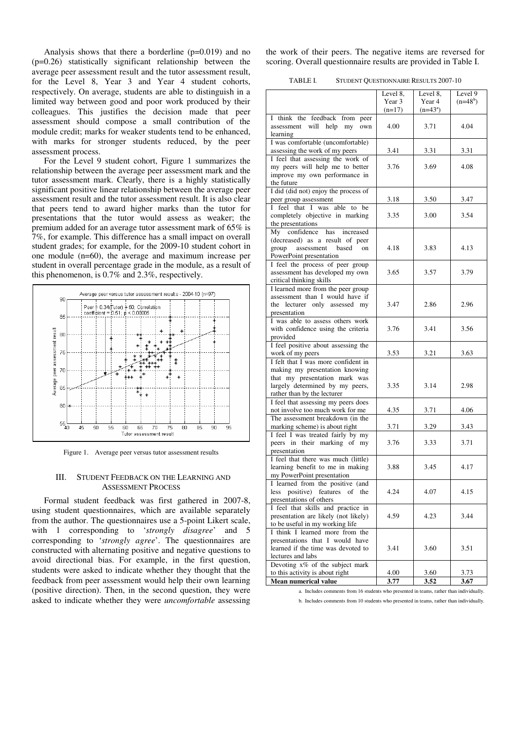Analysis shows that there a borderline (p=0.019) and no (p=0.26) statistically significant relationship between the average peer assessment result and the tutor assessment result, for the Level 8, Year 3 and Year 4 student cohorts, respectively. On average, students are able to distinguish in a limited way between good and poor work produced by their colleagues. This justifies the decision made that peer assessment should compose a small contribution of the module credit; marks for weaker students tend to be enhanced, with marks for stronger students reduced, by the peer assessment process.

For the Level 9 student cohort, Figure 1 summarizes the relationship between the average peer assessment mark and the tutor assessment mark. Clearly, there is a highly statistically significant positive linear relationship between the average peer assessment result and the tutor assessment result. It is also clear that peers tend to award higher marks than the tutor for presentations that the tutor would assess as weaker; the premium added for an average tutor assessment mark of 65% is 7%, for example. This difference has a small impact on overall student grades; for example, for the 2009-10 student cohort in one module (n=60), the average and maximum increase per student in overall percentage grade in the module, as a result of this phenomenon, is 0.7% and 2.3%, respectively.



Figure 1. Average peer versus tutor assessment results

#### III. STUDENT FEEDBACK ON THE LEARNING AND ASSESSMENT PROCESS

Formal student feedback was first gathered in 2007-8, using student questionnaires, which are available separately from the author. The questionnaires use a 5-point Likert scale, with 1 corresponding to '*strongly disagree*' and 5 corresponding to '*strongly agree*'. The questionnaires are constructed with alternating positive and negative questions to avoid directional bias. For example, in the first question, students were asked to indicate whether they thought that the feedback from peer assessment would help their own learning (positive direction). Then, in the second question, they were asked to indicate whether they were *uncomfortable* assessing

the work of their peers. The negative items are reversed for scoring. Overall questionnaire results are provided in Table I.

| TABLE I. |  | STUDENT QUESTIONNAIRE RESULTS 2007-10 |
|----------|--|---------------------------------------|
|----------|--|---------------------------------------|

|                                                                    | Level 8, | Level 8.   | Level 9    |
|--------------------------------------------------------------------|----------|------------|------------|
|                                                                    | Year 3   | Year 4     | $(n=48^b)$ |
|                                                                    | $(n=17)$ | $(n=43^a)$ |            |
| I think the feedback from peer                                     |          |            |            |
| will help<br>assessment<br>my<br>own                               | 4.00     | 3.71       | 4.04       |
| learning                                                           |          |            |            |
| I was comfortable (uncomfortable)                                  |          |            |            |
| assessing the work of my peers                                     | 3.41     | 3.31       | 3.31       |
| I feel that assessing the work of                                  |          |            |            |
| my peers will help me to better                                    | 3.76     | 3.69       | 4.08       |
| improve my own performance in                                      |          |            |            |
| the future                                                         |          |            |            |
| I did (did not) enjoy the process of                               |          |            |            |
| peer group assessment                                              | 3.18     | 3.50       | 3.47       |
| I feel that I was able to<br>be                                    |          |            |            |
| completely objective in marking                                    | 3.35     | 3.00       | 3.54       |
| the presentations                                                  |          |            |            |
| confidence<br>has<br>increased<br>My                               |          |            |            |
| (decreased) as a result of peer                                    | 4.18     | 3.83       | 4.13       |
| group<br>assessment<br>based<br>on<br>PowerPoint presentation      |          |            |            |
| I feel the process of peer group                                   |          |            |            |
| assessment has developed my own                                    | 3.65     | 3.57       | 3.79       |
| critical thinking skills                                           |          |            |            |
| I learned more from the peer group                                 |          |            |            |
| assessment than I would have if                                    |          |            |            |
| the lecturer only assessed my                                      | 3.47     | 2.86       | 2.96       |
| presentation                                                       |          |            |            |
| I was able to assess others work                                   |          |            |            |
| with confidence using the criteria                                 | 3.76     | 3.41       | 3.56       |
| provided                                                           |          |            |            |
| I feel positive about assessing the                                |          |            |            |
| work of my peers                                                   | 3.53     | 3.21       | 3.63       |
| I felt that I was more confident in                                |          |            |            |
| making my presentation knowing                                     |          |            |            |
| that my presentation mark was                                      |          |            |            |
| largely determined by my peers,                                    | 3.35     | 3.14       | 2.98       |
| rather than by the lecturer                                        |          |            |            |
| I feel that assessing my peers does                                |          |            |            |
| not involve too much work for me                                   | 4.35     | 3.71       | 4.06       |
| The assessment breakdown (in the<br>marking scheme) is about right | 3.71     | 3.29       | 3.43       |
| I feel I was treated fairly by my                                  |          |            |            |
| peers in their marking of<br>my                                    | 3.76     | 3.33       | 3.71       |
| presentation                                                       |          |            |            |
| I feel that there was much (little)                                |          |            |            |
| learning benefit to me in making                                   | 3.88     | 3.45       | 4.17       |
| my PowerPoint presentation                                         |          |            |            |
| I learned from the positive (and                                   |          |            |            |
| positive) features<br>of<br>less<br>the                            | 4.24     | 4.07       | 4.15       |
| presentations of others                                            |          |            |            |
| I feel that skills and practice in                                 |          |            |            |
| presentation are likely (not likely)                               | 4.59     | 4.23       | 3.44       |
| to be useful in my working life                                    |          |            |            |
| I think I learned more from the                                    |          |            |            |
| presentations that I would have                                    |          |            |            |
| learned if the time was devoted to                                 | 3.41     | 3.60       | 3.51       |
| lectures and labs                                                  |          |            |            |
| Devoting x% of the subject mark<br>to this activity is about right | 4.00     | 3.60       | 3.73       |
| Mean numerical value                                               | 3.77     | 3.52       | 3.67       |
|                                                                    |          |            |            |

a. Includes comments from 16 students who presented in teams, rather than individually.

b. Includes comments from 10 students who presented in teams, rather than individually.